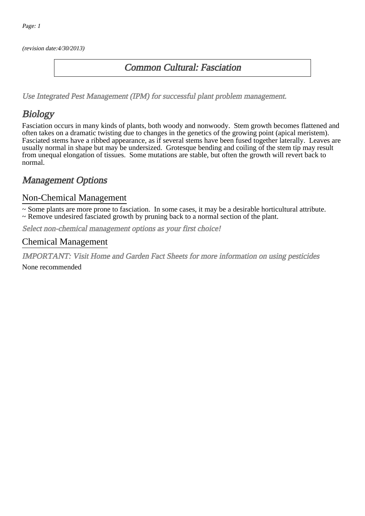(revision date:4/30/2013)

#### Common Cultural: Fasciation

[Use Integrated Pest Management \(IPM\) for successful plant problem management.](http://pep.wsu.edu/Home_Garden/H_G_Pesticide_info/urban_Integrated_Pest_Managmen/)

# Biology

Fasciation occurs in many kinds of plants, both woody and nonwoody. Stem growth becomes flattened and often takes on a dramatic twisting due to changes in the genetics of the growing point (apical meristem). Fasciated stems have a ribbed appearance, as if several stems have been fused together laterally. Leaves are usually normal in shape but may be undersized. Grotesque bending and coiling of the stem tip may result from unequal elongation of tissues. Some mutations are stable, but often the growth will revert back to normal.

### Management Options

#### Non-Chemical Management

~ Some plants are more prone to fasciation. In some cases, it may be a desirable horticultural attribute. ~ Remove undesired fasciated growth by pruning back to a normal section of the plant.

Select non-chemical management options as your first choice!

#### Chemical Management

IMPORTANT: [Visit Home and Garden Fact Sheets for more information on using pesticides](http://pep.wsu.edu/Home_Garden/H_G_Pesticide_info/)

None recommended